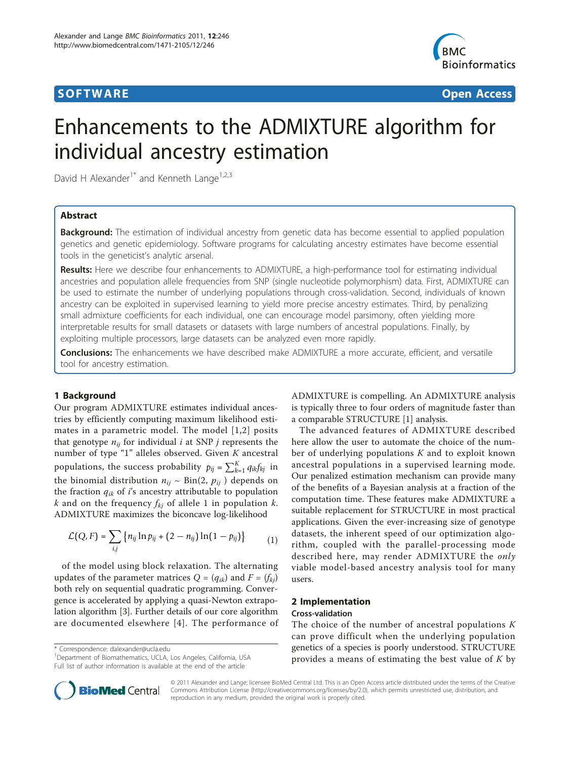# **SOFTWARE SOFTWARE** *CONSERVERSE EXECUTIVE EXECUTIVE EXECUTIVE EXECUTIVE EXECUTIVE EXECUTIVE EXECUTIVE EXECUTIVE EXECUTIVE EXECUTIVE EXECUTIVE EXECUTIVE EXECUTIVE EXECUTIVE EXECUTIVE EXECUTIVE EXECUTIVE EXECUTIVE EXECUT*



# Enhancements to the ADMIXTURE algorithm for individual ancestry estimation

David H Alexander<sup>1\*</sup> and Kenneth Lange<sup>1,2,3</sup>

# Abstract

**Background:** The estimation of individual ancestry from genetic data has become essential to applied population genetics and genetic epidemiology. Software programs for calculating ancestry estimates have become essential tools in the geneticist's analytic arsenal.

Results: Here we describe four enhancements to ADMIXTURE, a high-performance tool for estimating individual ancestries and population allele frequencies from SNP (single nucleotide polymorphism) data. First, ADMIXTURE can be used to estimate the number of underlying populations through cross-validation. Second, individuals of known ancestry can be exploited in supervised learning to yield more precise ancestry estimates. Third, by penalizing small admixture coefficients for each individual, one can encourage model parsimony, often yielding more interpretable results for small datasets or datasets with large numbers of ancestral populations. Finally, by exploiting multiple processors, large datasets can be analyzed even more rapidly.

**Conclusions:** The enhancements we have described make ADMIXTURE a more accurate, efficient, and versatile tool for ancestry estimation.

## 1 Background

Our program ADMIXTURE estimates individual ancestries by efficiently computing maximum likelihood estimates in a parametric model. The model [[1,](#page-4-0)[2](#page-5-0)] posits that genotype  $n_{ij}$  for individual i at SNP j represents the number of type "1" alleles observed. Given K ancestral populations, the success probability  $p_{ij} = \sum_{k=1}^{K} q_{ik} f_{kj}$  in the binomial distribution  $n_{ij} \sim Bin(2, p_{ij})$  depends on the fraction  $q_{ik}$  of i's ancestry attributable to population k and on the frequency  $f_{ki}$  of allele 1 in population k. ADMIXTURE maximizes the biconcave log-likelihood

$$
\mathcal{L}(Q, F) = \sum_{i,j} \left\{ n_{ij} \ln p_{ij} + (2 - n_{ij}) \ln (1 - p_{ij}) \right\} \tag{1}
$$

of the model using block relaxation. The alternating updates of the parameter matrices  $Q = (q_{ik})$  and  $F = (f_{ki})$ both rely on sequential quadratic programming. Convergence is accelerated by applying a quasi-Newton extrapolation algorithm [\[3\]](#page-5-0). Further details of our core algorithm are documented elsewhere [[4](#page-5-0)]. The performance of

\* Correspondence: [dalexander@ucla.edu](mailto:dalexander@ucla.edu)

<sup>1</sup>Department of Biomathematics, UCLA, Los Angeles, California, USA Full list of author information is available at the end of the article



The advanced features of ADMIXTURE described here allow the user to automate the choice of the number of underlying populations  $K$  and to exploit known ancestral populations in a supervised learning mode. Our penalized estimation mechanism can provide many of the benefits of a Bayesian analysis at a fraction of the computation time. These features make ADMIXTURE a suitable replacement for STRUCTURE in most practical applications. Given the ever-increasing size of genotype datasets, the inherent speed of our optimization algorithm, coupled with the parallel-processing mode described here, may render ADMIXTURE the only viable model-based ancestry analysis tool for many users.

# 2 Implementation

# Cross-validation

The choice of the number of ancestral populations  $K$ can prove difficult when the underlying population genetics of a species is poorly understood. STRUCTURE provides a means of estimating the best value of  $K$  by



© 2011 Alexander and Lange; licensee BioMed Central Ltd. This is an Open Access article distributed under the terms of the Creative Commons Attribution License [\(http://creativecommons.org/licenses/by/2.0](http://creativecommons.org/licenses/by/2.0)), which permits unrestricted use, distribution, and reproduction in any medium, provided the original work is properly cited.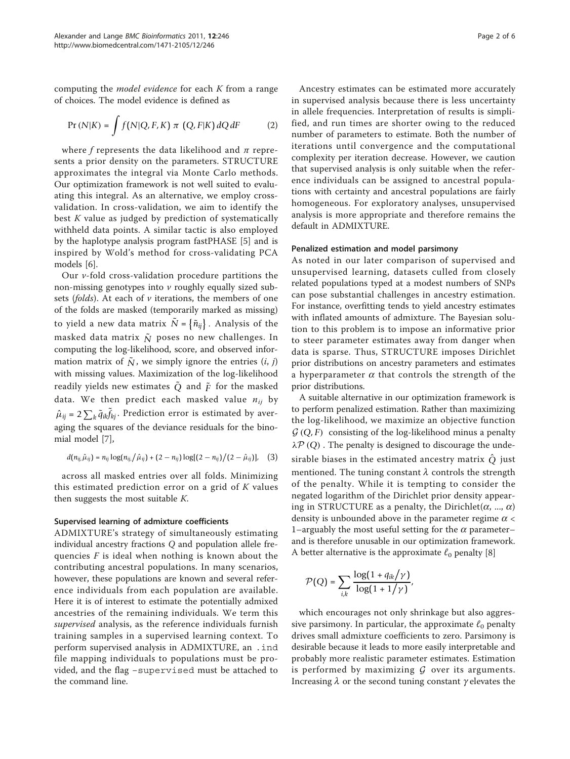computing the *model evidence* for each  $K$  from a range of choices. The model evidence is defined as

$$
Pr(N|K) = \int f(N|Q, F, K) \pi (Q, F|K) dQ dF \qquad (2)
$$

where f represents the data likelihood and  $\pi$  represents a prior density on the parameters. STRUCTURE approximates the integral via Monte Carlo methods. Our optimization framework is not well suited to evaluating this integral. As an alternative, we employ crossvalidation. In cross-validation, we aim to identify the best  $K$  value as judged by prediction of systematically withheld data points. A similar tactic is also employed by the haplotype analysis program fastPHASE [\[5](#page-5-0)] and is inspired by Wold's method for cross-validating PCA models [\[6](#page-5-0)].

Our v-fold cross-validation procedure partitions the non-missing genotypes into  $\nu$  roughly equally sized subsets (folds). At each of  $\nu$  iterations, the members of one of the folds are masked (temporarily marked as missing) to yield a new data matrix  $\tilde{N} = \left\{ \tilde{n}_{ij} \right\}$  . Analysis of the masked data matrix  $\tilde{N}$  poses no new challenges. In computing the log-likelihood, score, and observed information matrix of  $\tilde{N}$ , we simply ignore the entries  $(i, j)$ with missing values. Maximization of the log-likelihood readily yields new estimates  $\tilde{Q}$  and  $\tilde{F}$  for the masked data. We then predict each masked value  $n_{ij}$  by  $\hat{\mu}_{ij}$  = 2  $\sum_{k} \tilde{q}_{ik} f_{kj}$ . Prediction error is estimated by averaging the squares of the deviance residuals for the binomial model [\[7](#page-5-0)],

$$
d(n_{ij,}\hat{\mu}_{ij}) = n_{ij}\log(n_{ij,}/\hat{\mu}_{ij}) + (2-n_{ij})\log[(2-n_{ij})/(2-\hat{\mu}_{ij})], \quad (3)
$$

across all masked entries over all folds. Minimizing this estimated prediction error on a grid of  $K$  values then suggests the most suitable  $K$ .

## Supervised learning of admixture coefficients

ADMIXTURE's strategy of simultaneously estimating individual ancestry fractions Q and population allele frequencies  $F$  is ideal when nothing is known about the contributing ancestral populations. In many scenarios, however, these populations are known and several reference individuals from each population are available. Here it is of interest to estimate the potentially admixed ancestries of the remaining individuals. We term this supervised analysis, as the reference individuals furnish training samples in a supervised learning context. To perform supervised analysis in ADMIXTURE, an .ind file mapping individuals to populations must be provided, and the flag –supervised must be attached to the command line.

Ancestry estimates can be estimated more accurately in supervised analysis because there is less uncertainty in allele frequencies. Interpretation of results is simplified, and run times are shorter owing to the reduced number of parameters to estimate. Both the number of iterations until convergence and the computational complexity per iteration decrease. However, we caution that supervised analysis is only suitable when the reference individuals can be assigned to ancestral populations with certainty and ancestral populations are fairly homogeneous. For exploratory analyses, unsupervised analysis is more appropriate and therefore remains the default in ADMIXTURE.

## Penalized estimation and model parsimony

As noted in our later comparison of supervised and unsupervised learning, datasets culled from closely related populations typed at a modest numbers of SNPs can pose substantial challenges in ancestry estimation. For instance, overfitting tends to yield ancestry estimates with inflated amounts of admixture. The Bayesian solution to this problem is to impose an informative prior to steer parameter estimates away from danger when data is sparse. Thus, STRUCTURE imposes Dirichlet prior distributions on ancestry parameters and estimates a hyperparameter  $\alpha$  that controls the strength of the prior distributions.

A suitable alternative in our optimization framework is to perform penalized estimation. Rather than maximizing the log-likelihood, we maximize an objective function  $G(Q, F)$  consisting of the log-likelihood minus a penalty  $\lambda \mathcal{P}(Q)$ . The penalty is designed to discourage the undesirable biases in the estimated ancestry matrix  $\hat{O}$  just mentioned. The tuning constant  $\lambda$  controls the strength of the penalty. While it is tempting to consider the negated logarithm of the Dirichlet prior density appearing in STRUCTURE as a penalty, the Dirichlet( $\alpha$ , ...,  $\alpha$ ) density is unbounded above in the parameter regime  $\alpha$  < 1–arguably the most useful setting for the  $\alpha$  parameter– and is therefore unusable in our optimization framework. A better alternative is the approximate  $\ell_0$  penalty [\[8](#page-5-0)]

$$
\mathcal{P}(Q) = \sum_{i,k} \frac{\log\bigl(1 + q_{ik}\big/\gamma\bigr)}{\log\bigl(1 + 1\big/\gamma\bigr)},
$$

which encourages not only shrinkage but also aggressive parsimony. In particular, the approximate  $\ell_0$  penalty drives small admixture coefficients to zero. Parsimony is desirable because it leads to more easily interpretable and probably more realistic parameter estimates. Estimation is performed by maximizing *G* over its arguments. Increasing  $\lambda$  or the second tuning constant  $\gamma$  elevates the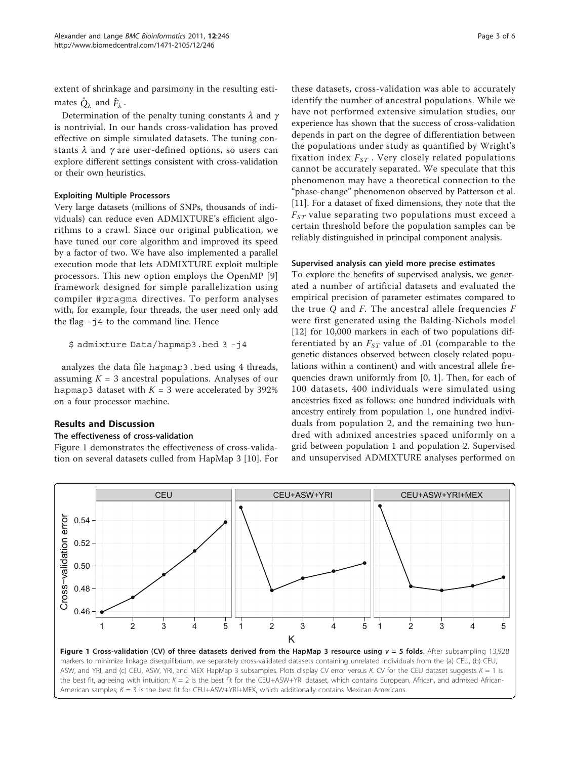extent of shrinkage and parsimony in the resulting estimates  $\hat{Q}_{\lambda}$  and  $\hat{F}_{\lambda}$ .

Determination of the penalty tuning constants  $\lambda$  and  $\gamma$ is nontrivial. In our hands cross-validation has proved effective on simple simulated datasets. The tuning constants  $\lambda$  and  $\gamma$  are user-defined options, so users can explore different settings consistent with cross-validation or their own heuristics.

# Exploiting Multiple Processors

Very large datasets (millions of SNPs, thousands of individuals) can reduce even ADMIXTURE's efficient algorithms to a crawl. Since our original publication, we have tuned our core algorithm and improved its speed by a factor of two. We have also implemented a parallel execution mode that lets ADMIXTURE exploit multiple processors. This new option employs the OpenMP [\[9](#page-5-0)] framework designed for simple parallelization using compiler #pragma directives. To perform analyses with, for example, four threads, the user need only add the flag -j4 to the command line. Hence

```
$ admixture Data/hapmap3.bed 3 -j4
```
analyzes the data file hapmap3.bed using 4 threads, assuming  $K = 3$  ancestral populations. Analyses of our hapmap3 dataset with  $K = 3$  were accelerated by 392% on a four processor machine.

# Results and Discussion

## The effectiveness of cross-validation

Figure 1 demonstrates the effectiveness of cross-validation on several datasets culled from HapMap 3 [[10](#page-5-0)]. For

these datasets, cross-validation was able to accurately identify the number of ancestral populations. While we have not performed extensive simulation studies, our experience has shown that the success of cross-validation depends in part on the degree of differentiation between the populations under study as quantified by Wright's fixation index  $F_{ST}$ . Very closely related populations cannot be accurately separated. We speculate that this phenomenon may have a theoretical connection to the "phase-change" phenomenon observed by Patterson et al. [[11\]](#page-5-0). For a dataset of fixed dimensions, they note that the  $F_{ST}$  value separating two populations must exceed a certain threshold before the population samples can be reliably distinguished in principal component analysis.

## Supervised analysis can yield more precise estimates

To explore the benefits of supervised analysis, we generated a number of artificial datasets and evaluated the empirical precision of parameter estimates compared to the true  $Q$  and  $F$ . The ancestral allele frequencies  $F$ were first generated using the Balding-Nichols model [[12\]](#page-5-0) for 10,000 markers in each of two populations differentiated by an  $F_{ST}$  value of .01 (comparable to the genetic distances observed between closely related populations within a continent) and with ancestral allele frequencies drawn uniformly from [0, 1]. Then, for each of 100 datasets, 400 individuals were simulated using ancestries fixed as follows: one hundred individuals with ancestry entirely from population 1, one hundred individuals from population 2, and the remaining two hundred with admixed ancestries spaced uniformly on a grid between population 1 and population 2. Supervised and unsupervised ADMIXTURE analyses performed on



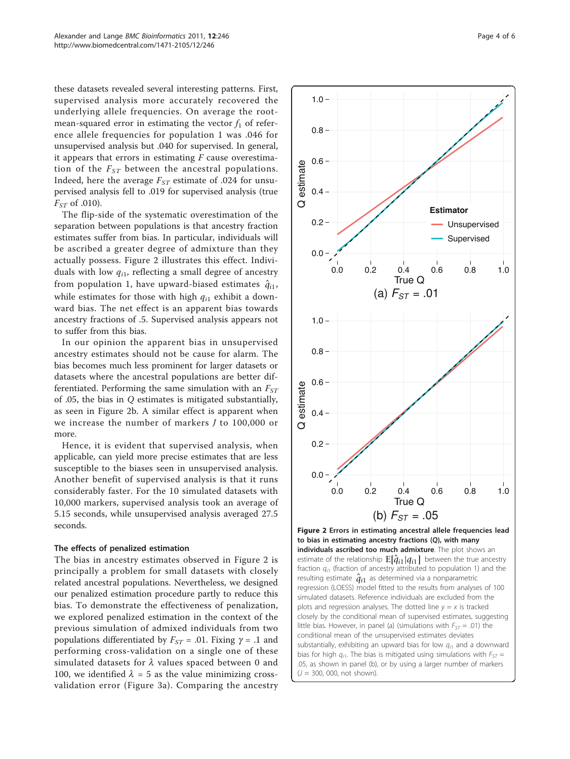these datasets revealed several interesting patterns. First, supervised analysis more accurately recovered the underlying allele frequencies. On average the rootmean-squared error in estimating the vector  $f_1$  of reference allele frequencies for population 1 was .046 for unsupervised analysis but .040 for supervised. In general, it appears that errors in estimating  $F$  cause overestimation of the  $F_{ST}$  between the ancestral populations. Indeed, here the average  $F_{ST}$  estimate of .024 for unsupervised analysis fell to .019 for supervised analysis (true  $F_{ST}$  of .010).

The flip-side of the systematic overestimation of the separation between populations is that ancestry fraction estimates suffer from bias. In particular, individuals will be ascribed a greater degree of admixture than they actually possess. Figure 2 illustrates this effect. Individuals with low  $q_{i1}$ , reflecting a small degree of ancestry from population 1, have upward-biased estimates  $\hat{q}_{i1}$ , while estimates for those with high  $q_{i1}$  exhibit a downward bias. The net effect is an apparent bias towards ancestry fractions of .5. Supervised analysis appears not to suffer from this bias.

In our opinion the apparent bias in unsupervised ancestry estimates should not be cause for alarm. The bias becomes much less prominent for larger datasets or datasets where the ancestral populations are better differentiated. Performing the same simulation with an  $F_{ST}$ of .05, the bias in Q estimates is mitigated substantially, as seen in Figure 2b. A similar effect is apparent when we increase the number of markers J to 100,000 or more.

Hence, it is evident that supervised analysis, when applicable, can yield more precise estimates that are less susceptible to the biases seen in unsupervised analysis. Another benefit of supervised analysis is that it runs considerably faster. For the 10 simulated datasets with 10,000 markers, supervised analysis took an average of 5.15 seconds, while unsupervised analysis averaged 27.5 seconds.

## The effects of penalized estimation

The bias in ancestry estimates observed in Figure 2 is principally a problem for small datasets with closely related ancestral populations. Nevertheless, we designed our penalized estimation procedure partly to reduce this bias. To demonstrate the effectiveness of penalization, we explored penalized estimation in the context of the previous simulation of admixed individuals from two populations differentiated by  $F_{ST} = .01$ . Fixing  $\gamma = .1$  and performing cross-validation on a single one of these simulated datasets for  $\lambda$  values spaced between 0 and 100, we identified  $\lambda = 5$  as the value minimizing crossvalidation error (Figure [3a\)](#page-4-0). Comparing the ancestry



to bias in estimating ancestry fractions (Q), with many individuals ascribed too much admixture. The plot shows an estimate of the relationship  $E[\hat{q}_{i1}|q_{i1}]$  between the true ancestry fraction  $q_{i1}$  (fraction of ancestry attributed to population 1) and the resulting estimate  $\hat{q}_{i1}$  as determined via a nonparametric regression (LOESS) model fitted to the results from analyses of 100 simulated datasets. Reference individuals are excluded from the plots and regression analyses. The dotted line  $y = x$  is tracked closely by the conditional mean of supervised estimates, suggesting little bias. However, in panel (a) (simulations with  $F_{ST} = .01$ ) the conditional mean of the unsupervised estimates deviates substantially, exhibiting an upward bias for low  $q_{i1}$  and a downward bias for high  $q_{i1}$ . The bias is mitigated using simulations with  $F_{ST}$  = .05, as shown in panel (b), or by using a larger number of markers  $(J = 300, 000, \text{not shown}).$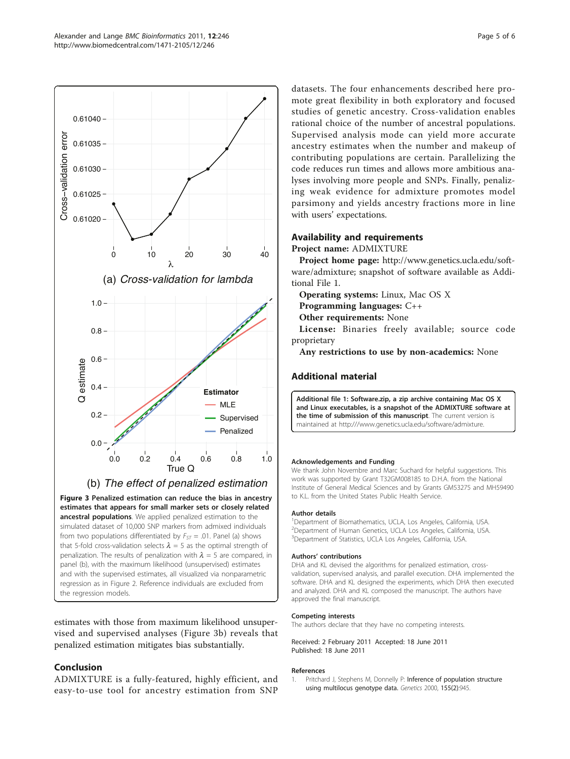<span id="page-4-0"></span>

# (b) *The effect of penalized estimation*

Figure 3 Penalized estimation can reduce the bias in ancestry estimates that appears for small marker sets or closely related ancestral populations. We applied penalized estimation to the simulated dataset of 10,000 SNP markers from admixed individuals from two populations differentiated by  $F_{ST} = .01$ . Panel (a) shows that 5-fold cross-validation selects  $\lambda = 5$  as the optimal strength of penalization. The results of penalization with  $\lambda = 5$  are compared, in panel (b), with the maximum likelihood (unsupervised) estimates and with the supervised estimates, all visualized via nonparametric regression as in Figure 2. Reference individuals are excluded from the regression models.

estimates with those from maximum likelihood unsupervised and supervised analyses (Figure 3b) reveals that penalized estimation mitigates bias substantially.

# Conclusion

ADMIXTURE is a fully-featured, highly efficient, and easy-to-use tool for ancestry estimation from SNP

datasets. The four enhancements described here promote great flexibility in both exploratory and focused studies of genetic ancestry. Cross-validation enables rational choice of the number of ancestral populations. Supervised analysis mode can yield more accurate ancestry estimates when the number and makeup of contributing populations are certain. Parallelizing the code reduces run times and allows more ambitious analyses involving more people and SNPs. Finally, penalizing weak evidence for admixture promotes model parsimony and yields ancestry fractions more in line with users' expectations.

# Availability and requirements

## Project name: ADMIXTURE

Project home page: [http://www.genetics.ucla.edu/soft](http://www.genetics.ucla.edu/software/admixture)[ware/admixture;](http://www.genetics.ucla.edu/software/admixture) snapshot of software available as Additional File 1.

Operating systems: Linux, Mac OS X

Programming languages: C++

Other requirements: None

License: Binaries freely available; source code proprietary

Any restrictions to use by non-academics: None

# Additional material

[Additional file 1: S](http://www.biomedcentral.com/content/supplementary/1471-2105-12-246-S1.ZIP)oftware.zip, a zip archive containing Mac OS X and Linux executables, is a snapshot of the ADMIXTURE software at the time of submission of this manuscript. The current version is maintained at [http:///www.genetics.ucla.edu/software/admixture.](http:///www.genetics.ucla.edu/software/admixture)

## Acknowledgements and Funding

We thank John Novembre and Marc Suchard for helpful suggestions. This work was supported by Grant T32GM008185 to D.H.A. from the National Institute of General Medical Sciences and by Grants GM53275 and MH59490 to K.L. from the United States Public Health Service.

## Author details

<sup>1</sup>Department of Biomathematics, UCLA, Los Angeles, California, USA 2 Department of Human Genetics, UCLA Los Angeles, California, USA. <sup>3</sup>Department of Statistics, UCLA Los Angeles, California, USA

## Authors' contributions

DHA and KL devised the algorithms for penalized estimation, crossvalidation, supervised analysis, and parallel execution. DHA implemented the software. DHA and KL designed the experiments, which DHA then executed and analyzed. DHA and KL composed the manuscript. The authors have approved the final manuscript.

## Competing interests

The authors declare that they have no competing interests.

Received: 2 February 2011 Accepted: 18 June 2011 Published: 18 June 2011

## References

1. Pritchard J, Stephens M, Donnelly P: [Inference of population structure](http://www.ncbi.nlm.nih.gov/pubmed/10835412?dopt=Abstract) [using multilocus genotype data.](http://www.ncbi.nlm.nih.gov/pubmed/10835412?dopt=Abstract) Genetics 2000, 155(2):945.